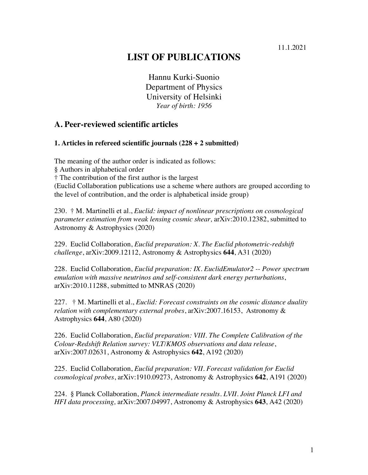#### 11.1.2021

# **LIST OF PUBLICATIONS**

Hannu Kurki-Suonio Department of Physics University of Helsinki *Year of birth: 1956*

#### **A. Peer-reviewed scientific articles**

#### **1. Articles in refereed scientific journals (228 + 2 submitted)**

The meaning of the author order is indicated as follows:

§ Authors in alphabetical order

† The contribution of the first author is the largest

(Euclid Collaboration publications use a scheme where authors are grouped according to the level of contribution, and the order is alphabetical inside group)

230. † M. Martinelli et al., *Euclid: impact of nonlinear prescriptions on cosmological parameter estimation from weak lensing cosmic shear,*  $a$ *xXiv:2010.12382, submitted to* Astronomy & Astrophysics (2020)

229. Euclid Collaboration, *Euclid preparation: X. The Euclid photometric-redshift challenge*, arXiv:2009.12112, Astronomy & Astrophysics **644**, A31 (2020)

228. Euclid Collaboration, *Euclid preparation: IX. EuclidEmulator2 -- Power spectrum emulation with massive neutrinos and self-consistent dark energy perturbations*, arXiv:2010.11288, submitted to MNRAS (2020)

227. † M. Martinelli et al., *Euclid: Forecast constraints on the cosmic distance duality relation with complementary external probes*, arXiv:2007.16153, Astronomy & Astrophysics **644**, A80 (2020)

226. Euclid Collaboration, *Euclid preparation: VIII. The Complete Calibration of the Colour-Redshift Relation survey: VLT/KMOS observations and data release*, arXiv:2007.02631, Astronomy & Astrophysics **642**, A192 (2020)

225. Euclid Collaboration, *Euclid preparation: VII. Forecast validation for Euclid cosmological probes*, arXiv:1910.09273, Astronomy & Astrophysics **642**, A191 (2020)

224. § Planck Collaboration, *Planck intermediate results. LVII. Joint Planck LFI and HFI data processing,* arXiv:2007.04997, Astronomy & Astrophysics **643**, A42 (2020)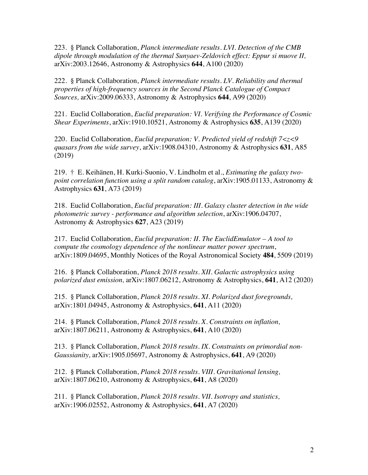223. § Planck Collaboration, *Planck intermediate results. LVI. Detection of the CMB dipole through modulation of the thermal Sunyaev-Zeldovich effect: Eppur si muove II,* arXiv:2003.12646, Astronomy & Astrophysics **644**, A100 (2020)

222. § Planck Collaboration, *Planck intermediate results. LV. Reliability and thermal properties of high-frequency sources in the Second Planck Catalogue of Compact Sources,* arXiv:2009.06333, Astronomy & Astrophysics **644**, A99 (2020)

221. Euclid Collaboration, *Euclid preparation: VI. Verifying the Performance of Cosmic Shear Experiments*, arXiv:1910.10521, Astronomy & Astrophysics **635**, A139 (2020)

220. Euclid Collaboration, *Euclid preparation: V. Predicted yield of redshift 7<z<9 quasars from the wide survey*, arXiv:1908.04310, Astronomy & Astrophysics **631**, A85 (2019)

219. † E. Keihänen, H. Kurki-Suonio, V. Lindholm et al., *Estimating the galaxy twopoint correlation function using a split random catalog*, arXiv:1905.01133, Astronomy & Astrophysics **631**, A73 (2019)

218. Euclid Collaboration, *Euclid preparation: III. Galaxy cluster detection in the wide photometric survey - performance and algorithm selection*, arXiv:1906.04707, Astronomy & Astrophysics **627**, A23 (2019)

217. Euclid Collaboration, *Euclid preparation: II. The EuclidEmulator – A tool to compute the cosmology dependence of the nonlinear matter power spectrum*, arXiv:1809.04695, Monthly Notices of the Royal Astronomical Society **484**, 5509 (2019)

216. § Planck Collaboration, *Planck 2018 results. XII. Galactic astrophysics using polarized dust emission,* arXiv:1807.06212, Astronomy & Astrophysics, **641**, A12 (2020)

215. § Planck Collaboration, *Planck 2018 results. XI. Polarized dust foregrounds,*  arXiv:1801.04945, Astronomy & Astrophysics, **641**, A11 (2020)

214. § Planck Collaboration, *Planck 2018 results. X. Constraints on inflation,*  arXiv:1807.06211, Astronomy & Astrophysics, **641**, A10 (2020)

213. § Planck Collaboration, *Planck 2018 results. IX. Constraints on primordial non-Gaussianity,* arXiv:1905.05697, Astronomy & Astrophysics, **641**, A9 (2020)

212. § Planck Collaboration, *Planck 2018 results. VIII. Gravitational lensing,*  arXiv:1807.06210, Astronomy & Astrophysics, **641**, A8 (2020)

211. § Planck Collaboration, *Planck 2018 results. VII. Isotropy and statistics,*  arXiv:1906.02552, Astronomy & Astrophysics, **641**, A7 (2020)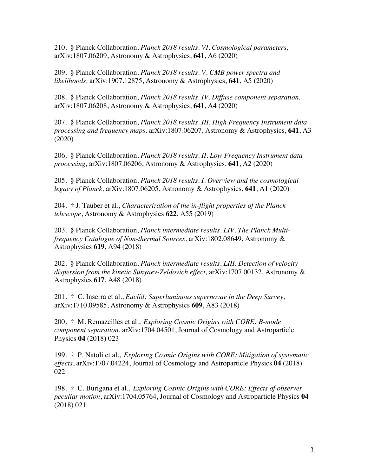210. § Planck Collaboration, *Planck 2018 results. VI. Cosmological parameters,*  arXiv:1807.06209, Astronomy & Astrophysics, **641**, A6 (2020)

209. § Planck Collaboration, *Planck 2018 results. V. CMB power spectra and likelihoods,* arXiv:1907.12875, Astronomy & Astrophysics, **641**, A5 (2020)

208. § Planck Collaboration, *Planck 2018 results. IV. Diffuse component separation,*  arXiv:1807.06208, Astronomy & Astrophysics, **641**, A4 (2020)

207. § Planck Collaboration, *Planck 2018 results. III. High Frequency Instrument data processing and frequency maps,* arXiv:1807.06207, Astronomy & Astrophysics, **641**, A3 (2020)

206. § Planck Collaboration, *Planck 2018 results. II. Low Frequency Instrument data processing,* arXiv:1807.06206, Astronomy & Astrophysics, **641**, A2 (2020)

205. § Planck Collaboration, *Planck 2018 results. I. Overview and the cosmological legacy of Planck,* arXiv:1807.06205, Astronomy & Astrophysics, **641**, A1 (2020)

204. † J. Tauber et al., *Characterization of the in-flight properties of the Planck telescope*, Astronomy & Astrophysics **622**, A55 (2019)

203. § Planck Collaboration, *Planck intermediate results. LIV. The Planck Multifrequency Catalogue of Non-thermal Sources,* arXiv:1802.08649, Astronomy & Astrophysics **619**, A94 (2018)

202. § Planck Collaboration, *Planck intermediate results. LIII. Detection of velocity dispersion from the kinetic Sunyaev-Zeldovich effect,* arXiv:1707.00132, Astronomy & Astrophysics **617**, A48 (2018)

201. † C. Inserra et al., *Euclid: Superluminous supernovae in the Deep Survey,*  arXiv:1710.09585, Astronomy & Astrophysics **609**, A83 (2018)

200. † M. Remazeilles et al., *Exploring Cosmic Origins with CORE: B-mode component separation*, arXiv:1704.04501, Journal of Cosmology and Astroparticle Physics **04** (2018) 023

199. † P. Natoli et al., *Exploring Cosmic Origins with CORE: Mitigation of systematic effects*, arXiv:1707.04224, Journal of Cosmology and Astroparticle Physics **04** (2018) 022

198. † C. Burigana et al., *Exploring Cosmic Origins with CORE: Effects of observer peculiar motion*, arXiv:1704.05764, Journal of Cosmology and Astroparticle Physics **04** (2018) 021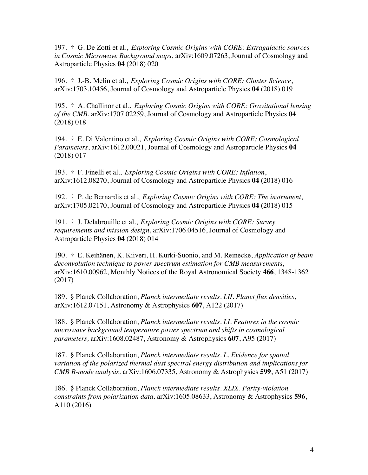197. † G. De Zotti et al., *Exploring Cosmic Origins with CORE: Extragalactic sources in Cosmic Microwave Background maps*, arXiv:1609.07263, Journal of Cosmology and Astroparticle Physics **04** (2018) 020

196. † J.-B. Melin et al., *Exploring Cosmic Origins with CORE: Cluster Science*, arXiv:1703.10456, Journal of Cosmology and Astroparticle Physics **04** (2018) 019

195. † A. Challinor et al., *Exploring Cosmic Origins with CORE: Gravitational lensing of the CMB*, arXiv:1707.02259, Journal of Cosmology and Astroparticle Physics **04** (2018) 018

194. † E. Di Valentino et al., *Exploring Cosmic Origins with CORE: Cosmological Parameters*, arXiv:1612.00021, Journal of Cosmology and Astroparticle Physics **04** (2018) 017

193. † F. Finelli et al., *Exploring Cosmic Origins with CORE: Inflation*, arXiv:1612.08270, Journal of Cosmology and Astroparticle Physics **04** (2018) 016

192. † P. de Bernardis et al., *Exploring Cosmic Origins with CORE: The instrument*, arXiv:1705.02170, Journal of Cosmology and Astroparticle Physics **04** (2018) 015

191. † J. Delabrouille et al., *Exploring Cosmic Origins with CORE: Survey requirements and mission design*, arXiv:1706.04516, Journal of Cosmology and Astroparticle Physics **04** (2018) 014

190. † E. Keihänen, K. Kiiveri, H. Kurki-Suonio, and M. Reinecke, *Application of beam deconvolution technique to power spectrum estimation for CMB measurements*, arXiv:1610.00962, Monthly Notices of the Royal Astronomical Society **466**, 1348-1362 (2017)

189. § Planck Collaboration, *Planck intermediate results. LII. Planet flux densities,*  arXiv:1612.07151, Astronomy & Astrophysics **607**, A122 (2017)

188. § Planck Collaboration, *Planck intermediate results. LI. Features in the cosmic microwave background temperature power spectrum and shifts in cosmological parameters,* arXiv:1608.02487, Astronomy & Astrophysics **607**, A95 (2017)

187. § Planck Collaboration, *Planck intermediate results. L. Evidence for spatial variation of the polarized thermal dust spectral energy distribution and implications for CMB B-mode analysis,* arXiv:1606.07335, Astronomy & Astrophysics **599**, A51 (2017)

186. § Planck Collaboration, *Planck intermediate results. XLIX. Parity-violation constraints from polarization data,* arXiv:1605.08633, Astronomy & Astrophysics **596**, A110 (2016)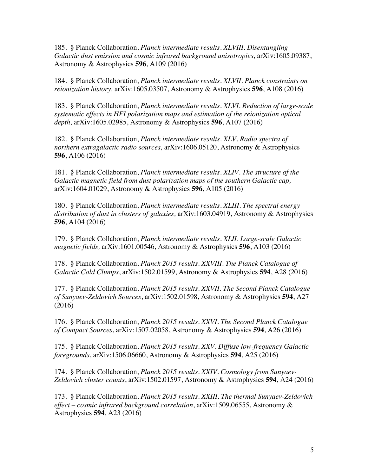185. § Planck Collaboration, *Planck intermediate results. XLVIII. Disentangling Galactic dust emission and cosmic infrared background anisotropies,* arXiv:1605.09387, Astronomy & Astrophysics **596**, A109 (2016)

184. § Planck Collaboration, *Planck intermediate results. XLVII. Planck constraints on reionization history,* arXiv:1605.03507, Astronomy & Astrophysics **596**, A108 (2016)

183. § Planck Collaboration, *Planck intermediate results. XLVI. Reduction of large-scale systematic effects in HFI polarization maps and estimation of the reionization optical depth,* arXiv:1605.02985, Astronomy & Astrophysics **596**, A107 (2016)

182. § Planck Collaboration, *Planck intermediate results. XLV. Radio spectra of northern extragalactic radio sources,* arXiv:1606.05120, Astronomy & Astrophysics **596**, A106 (2016)

181. § Planck Collaboration, *Planck intermediate results. XLIV. The structure of the Galactic magnetic field from dust polarization maps of the southern Galactic cap,*  arXiv:1604.01029, Astronomy & Astrophysics **596**, A105 (2016)

180. § Planck Collaboration, *Planck intermediate results. XLIII. The spectral energy distribution of dust in clusters of galaxies,* arXiv:1603.04919, Astronomy & Astrophysics **596**, A104 (2016)

179. § Planck Collaboration, *Planck intermediate results. XLII. Large-scale Galactic magnetic fields,* arXiv:1601.00546, Astronomy & Astrophysics **596**, A103 (2016)

178. § Planck Collaboration, *Planck 2015 results. XXVIII. The Planck Catalogue of Galactic Cold Clumps*, arXiv:1502.01599, Astronomy & Astrophysics **594**, A28 (2016)

177. § Planck Collaboration, *Planck 2015 results. XXVII. The Second Planck Catalogue of Sunyaev-Zeldovich Sources*, arXiv:1502.01598, Astronomy & Astrophysics **594**, A27 (2016)

176. § Planck Collaboration, *Planck 2015 results. XXVI. The Second Planck Catalogue of Compact Sources*, arXiv:1507.02058, Astronomy & Astrophysics **594**, A26 (2016)

175. § Planck Collaboration, *Planck 2015 results. XXV. Diffuse low-frequency Galactic foregrounds*, arXiv:1506.06660, Astronomy & Astrophysics **594**, A25 (2016)

174. § Planck Collaboration, *Planck 2015 results. XXIV. Cosmology from Sunyaev-Zeldovich cluster counts*, arXiv:1502.01597, Astronomy & Astrophysics **594**, A24 (2016)

173. § Planck Collaboration, *Planck 2015 results. XXIII. The thermal Sunyaev-Zeldovich effect – cosmic infrared background correlation*, arXiv:1509.06555, Astronomy & Astrophysics **594**, A23 (2016)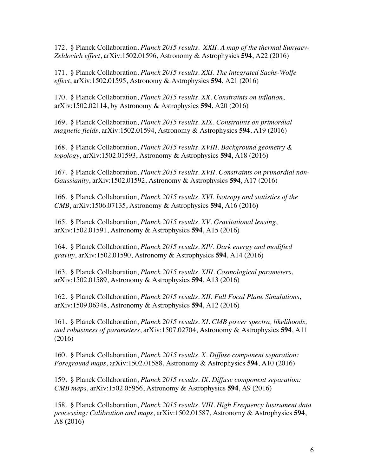172. § Planck Collaboration, *Planck 2015 results. XXII. A map of the thermal Sunyaev-Zeldovich effect*, arXiv:1502.01596, Astronomy & Astrophysics **594**, A22 (2016)

171. § Planck Collaboration, *Planck 2015 results. XXI. The integrated Sachs-Wolfe effect*, arXiv:1502.01595, Astronomy & Astrophysics **594**, A21 (2016)

170. § Planck Collaboration, *Planck 2015 results. XX. Constraints on inflation*, arXiv:1502.02114, by Astronomy & Astrophysics **594**, A20 (2016)

169. § Planck Collaboration, *Planck 2015 results. XIX. Constraints on primordial magnetic fields*, arXiv:1502.01594, Astronomy & Astrophysics **594**, A19 (2016)

168. § Planck Collaboration, *Planck 2015 results. XVIII. Background geometry & topology*, arXiv:1502.01593, Astronomy & Astrophysics **594**, A18 (2016)

167. § Planck Collaboration, *Planck 2015 results. XVII. Constraints on primordial non-Gaussianity*, arXiv:1502.01592, Astronomy & Astrophysics **594**, A17 (2016)

166. § Planck Collaboration, *Planck 2015 results. XVI. Isotropy and statistics of the CMB*, arXiv:1506.07135, Astronomy & Astrophysics **594**, A16 (2016)

165. § Planck Collaboration, *Planck 2015 results. XV. Gravitational lensing*, arXiv:1502.01591, Astronomy & Astrophysics **594**, A15 (2016)

164. § Planck Collaboration, *Planck 2015 results. XIV. Dark energy and modified gravity*, arXiv:1502.01590, Astronomy & Astrophysics **594**, A14 (2016)

163. § Planck Collaboration, *Planck 2015 results. XIII. Cosmological parameters*, arXiv:1502.01589, Astronomy & Astrophysics **594**, A13 (2016)

162. § Planck Collaboration, *Planck 2015 results. XII. Full Focal Plane Simulations*, arXiv:1509.06348, Astronomy & Astrophysics **594**, A12 (2016)

161. § Planck Collaboration, *Planck 2015 results. XI. CMB power spectra, likelihoods, and robustness of parameters*, arXiv:1507.02704, Astronomy & Astrophysics **594**, A11 (2016)

160. § Planck Collaboration, *Planck 2015 results. X. Diffuse component separation: Foreground maps*, arXiv:1502.01588, Astronomy & Astrophysics **594**, A10 (2016)

159. § Planck Collaboration, *Planck 2015 results. IX. Diffuse component separation: CMB maps*, arXiv:1502.05956, Astronomy & Astrophysics **594**, A9 (2016)

158. § Planck Collaboration, *Planck 2015 results. VIII. High Frequency Instrument data processing: Calibration and maps*, arXiv:1502.01587, Astronomy & Astrophysics **594**, A8 (2016)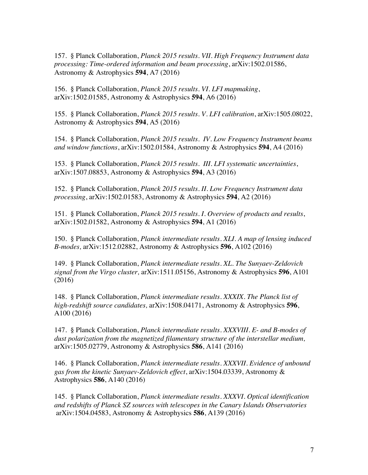157. § Planck Collaboration, *Planck 2015 results. VII. High Frequency Instrument data processing: Time-ordered information and beam processing*, arXiv:1502.01586, Astronomy & Astrophysics **594**, A7 (2016)

156. § Planck Collaboration, *Planck 2015 results. VI. LFI mapmaking*, arXiv:1502.01585, Astronomy & Astrophysics **594**, A6 (2016)

155. § Planck Collaboration, *Planck 2015 results. V. LFI calibration*, arXiv:1505.08022, Astronomy & Astrophysics **594**, A5 (2016)

154. § Planck Collaboration, *Planck 2015 results. IV. Low Frequency Instrument beams and window functions*, arXiv:1502.01584, Astronomy & Astrophysics **594**, A4 (2016)

153. § Planck Collaboration, *Planck 2015 results. III. LFI systematic uncertainties*, arXiv:1507.08853, Astronomy & Astrophysics **594**, A3 (2016)

152. § Planck Collaboration, *Planck 2015 results. II. Low Frequency Instrument data processing*, arXiv:1502.01583, Astronomy & Astrophysics **594**, A2 (2016)

151. § Planck Collaboration, *Planck 2015 results. I. Overview of products and results*, arXiv:1502.01582, Astronomy & Astrophysics **594**, A1 (2016)

150. § Planck Collaboration, *Planck intermediate results. XLI. A map of lensing induced B-modes,* arXiv:1512.02882, Astronomy & Astrophysics **596**, A102 (2016)

149. § Planck Collaboration, *Planck intermediate results. XL. The Sunyaev-Zeldovich signal from the Virgo cluster,* arXiv:1511.05156, Astronomy & Astrophysics **596**, A101 (2016)

148. § Planck Collaboration, *Planck intermediate results. XXXIX. The Planck list of high-redshift source candidates,* arXiv:1508.04171, Astronomy & Astrophysics **596**, A100 (2016)

147. § Planck Collaboration, *Planck intermediate results. XXXVIII. E- and B-modes of dust polarization from the magnetized filamentary structure of the interstellar medium,* arXiv:1505.02779, Astronomy & Astrophysics **586**, A141 (2016)

146. § Planck Collaboration, *Planck intermediate results. XXXVII. Evidence of unbound gas from the kinetic Sunyaev-Zeldovich effect*, arXiv:1504.03339, Astronomy & Astrophysics **586**, A140 (2016)

145. § Planck Collaboration, *Planck intermediate results. XXXVI. Optical identification and redshifts of Planck SZ sources with telescopes in the Canary Islands Observatories* arXiv:1504.04583, Astronomy & Astrophysics **586**, A139 (2016)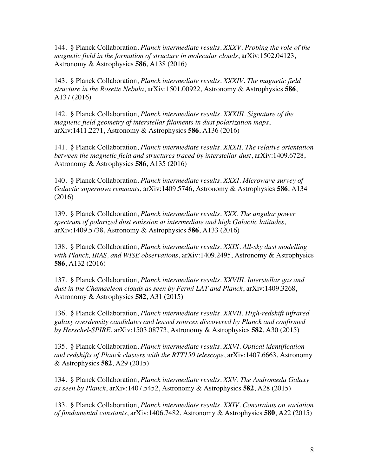144. § Planck Collaboration, *Planck intermediate results. XXXV. Probing the role of the magnetic field in the formation of structure in molecular clouds*, arXiv:1502.04123, Astronomy & Astrophysics **586**, A138 (2016)

143. § Planck Collaboration, *Planck intermediate results. XXXIV. The magnetic field structure in the Rosette Nebula*, arXiv:1501.00922, Astronomy & Astrophysics **586**, A137 (2016)

142. § Planck Collaboration, *Planck intermediate results. XXXIII. Signature of the magnetic field geometry of interstellar filaments in dust polarization maps*, arXiv:1411.2271, Astronomy & Astrophysics **586**, A136 (2016)

141. § Planck Collaboration, *Planck intermediate results. XXXII. The relative orientation between the magnetic field and structures traced by interstellar dust*, arXiv:1409.6728, Astronomy & Astrophysics **586**, A135 (2016)

140. § Planck Collaboration, *Planck intermediate results. XXXI. Microwave survey of Galactic supernova remnants*, arXiv:1409.5746, Astronomy & Astrophysics **586**, A134 (2016)

139. § Planck Collaboration, *Planck intermediate results. XXX. The angular power spectrum of polarized dust emission at intermediate and high Galactic latitudes*, arXiv:1409.5738, Astronomy & Astrophysics **586**, A133 (2016)

138. § Planck Collaboration, *Planck intermediate results. XXIX. All-sky dust modelling with Planck, IRAS, and WISE observations*, arXiv:1409.2495, Astronomy & Astrophysics **586**, A132 (2016)

137. § Planck Collaboration, *Planck intermediate results. XXVIII. Interstellar gas and dust in the Chamaeleon clouds as seen by Fermi LAT and Planck*, arXiv:1409.3268, Astronomy & Astrophysics **582**, A31 (2015)

136. § Planck Collaboration, *Planck intermediate results. XXVII. High-redshift infrared galaxy overdensity candidates and lensed sources discovered by Planck and confirmed by Herschel-SPIRE*, arXiv:1503.08773, Astronomy & Astrophysics **582**, A30 (2015)

135. § Planck Collaboration, *Planck intermediate results. XXVI. Optical identification and redshifts of Planck clusters with the RTT150 telescope*, arXiv:1407.6663, Astronomy & Astrophysics **582**, A29 (2015)

134. § Planck Collaboration, *Planck intermediate results. XXV. The Andromeda Galaxy as seen by Planck*, arXiv:1407.5452, Astronomy & Astrophysics **582**, A28 (2015)

133. § Planck Collaboration, *Planck intermediate results. XXIV. Constraints on variation of fundamental constants*, arXiv:1406.7482, Astronomy & Astrophysics **580**, A22 (2015)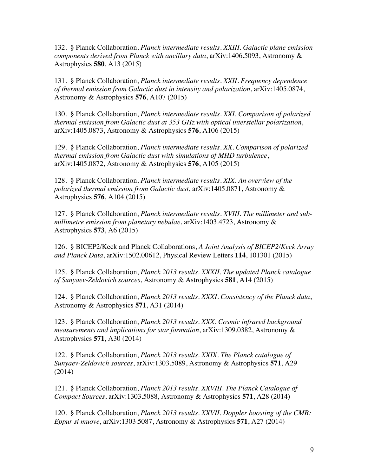132. § Planck Collaboration, *Planck intermediate results. XXIII. Galactic plane emission components derived from Planck with ancillary data*, arXiv:1406.5093, Astronomy & Astrophysics **580**, A13 (2015)

131. § Planck Collaboration, *Planck intermediate results. XXII. Frequency dependence of thermal emission from Galactic dust in intensity and polarization*, arXiv:1405.0874, Astronomy & Astrophysics **576**, A107 (2015)

130. § Planck Collaboration, *Planck intermediate results. XXI. Comparison of polarized thermal emission from Galactic dust at 353 GHz with optical interstellar polarization*, arXiv:1405.0873, Astronomy & Astrophysics **576**, A106 (2015)

129. § Planck Collaboration, *Planck intermediate results. XX. Comparison of polarized thermal emission from Galactic dust with simulations of MHD turbulence*, arXiv:1405.0872, Astronomy & Astrophysics **576**, A105 (2015)

128. § Planck Collaboration, *Planck intermediate results. XIX. An overview of the polarized thermal emission from Galactic dust*, arXiv:1405.0871, Astronomy & Astrophysics **576**, A104 (2015)

127. § Planck Collaboration, *Planck intermediate results. XVIII. The millimeter and submillimetre emission from planetary nebulae*, arXiv:1403.4723, Astronomy & Astrophysics **573**, A6 (2015)

126. § BICEP2/Keck and Planck Collaborations, *A Joint Analysis of BICEP2/Keck Array and Planck Data*, arXiv:1502.00612, Physical Review Letters **114**, 101301 (2015)

125. § Planck Collaboration, *Planck 2013 results. XXXII. The updated Planck catalogue of Sunyaev-Zeldovich sources*, Astronomy & Astrophysics **581**, A14 (2015)

124. § Planck Collaboration, *Planck 2013 results. XXXI. Consistency of the Planck data*, Astronomy & Astrophysics **571**, A31 (2014)

123. § Planck Collaboration, *Planck 2013 results. XXX. Cosmic infrared background measurements and implications for star formation*, arXiv:1309.0382, Astronomy & Astrophysics **571**, A30 (2014)

122. § Planck Collaboration, *Planck 2013 results. XXIX. The Planck catalogue of Sunyaev-Zeldovich sources*, arXiv:1303.5089, Astronomy & Astrophysics **571**, A29 (2014)

121. § Planck Collaboration, *Planck 2013 results. XXVIII. The Planck Catalogue of Compact Sources*, arXiv:1303.5088, Astronomy & Astrophysics **571**, A28 (2014)

120. § Planck Collaboration, *Planck 2013 results. XXVII. Doppler boosting of the CMB: Eppur si muove*, arXiv:1303.5087, Astronomy & Astrophysics **571**, A27 (2014)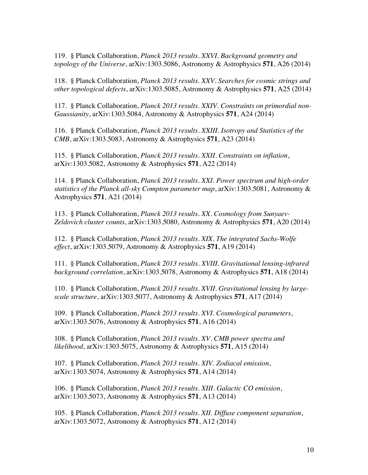119. § Planck Collaboration, *Planck 2013 results. XXVI. Background geometry and topology of the Universe*, arXiv:1303.5086, Astronomy & Astrophysics **571**, A26 (2014)

118. § Planck Collaboration, *Planck 2013 results. XXV. Searches for cosmic strings and other topological defects*, arXiv:1303.5085, Astronomy & Astrophysics **571**, A25 (2014)

117. § Planck Collaboration, *Planck 2013 results. XXIV. Constraints on primordial non-Gaussianity*, arXiv:1303.5084, Astronomy & Astrophysics **571**, A24 (2014)

116. § Planck Collaboration, *Planck 2013 results. XXIII. Isotropy and Statistics of the CMB*, arXiv:1303.5083, Astronomy & Astrophysics **571**, A23 (2014)

115. § Planck Collaboration, *Planck 2013 results. XXII. Constraints on inflation*, arXiv:1303.5082, Astronomy & Astrophysics **571**, A22 (2014)

114. § Planck Collaboration, *Planck 2013 results. XXI. Power spectrum and high-order statistics of the Planck all-sky Compton parameter map*, arXiv:1303.5081, Astronomy & Astrophysics **571**, A21 (2014)

113. § Planck Collaboration, *Planck 2013 results. XX. Cosmology from Sunyaev-Zeldovich cluster counts*, arXiv:1303.5080, Astronomy & Astrophysics **571**, A20 (2014)

112. § Planck Collaboration, *Planck 2013 results. XIX. The integrated Sachs-Wolfe effect*, arXiv:1303.5079, Astronomy & Astrophysics **571**, A19 (2014)

111. § Planck Collaboration, *Planck 2013 results. XVIII. Gravitational lensing-infrared background correlation*, arXiv:1303.5078, Astronomy & Astrophysics **571**, A18 (2014)

110. § Planck Collaboration, *Planck 2013 results. XVII. Gravitational lensing by largescale structure*, arXiv:1303.5077, Astronomy & Astrophysics **571**, A17 (2014)

109. § Planck Collaboration, *Planck 2013 results. XVI. Cosmological parameters*, arXiv:1303.5076, Astronomy & Astrophysics **571**, A16 (2014)

108. § Planck Collaboration, *Planck 2013 results. XV. CMB power spectra and likelihood*, arXiv:1303.5075, Astronomy & Astrophysics **571**, A15 (2014)

107. § Planck Collaboration, *Planck 2013 results. XIV. Zodiacal emission*, arXiv:1303.5074, Astronomy & Astrophysics **571**, A14 (2014)

106. § Planck Collaboration, *Planck 2013 results. XIII. Galactic CO emission*, arXiv:1303.5073, Astronomy & Astrophysics **571**, A13 (2014)

105. § Planck Collaboration, *Planck 2013 results. XII. Diffuse component separation*, arXiv:1303.5072, Astronomy & Astrophysics **571**, A12 (2014)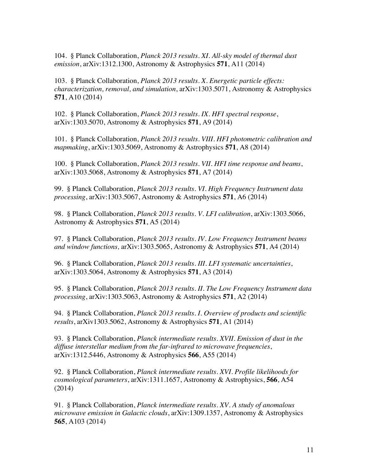104. § Planck Collaboration, *Planck 2013 results. XI. All-sky model of thermal dust emission*, arXiv:1312.1300, Astronomy & Astrophysics **571**, A11 (2014)

103. § Planck Collaboration, *Planck 2013 results. X. Energetic particle effects: characterization, removal, and simulation*, arXiv:1303.5071, Astronomy & Astrophysics **571**, A10 (2014)

102. § Planck Collaboration, *Planck 2013 results*. *IX. HFI spectral response*, arXiv:1303.5070, Astronomy & Astrophysics **571**, A9 (2014)

101. § Planck Collaboration, *Planck 2013 results. VIII. HFI photometric calibration and mapmaking*, arXiv:1303.5069, Astronomy & Astrophysics **571**, A8 (2014)

100. § Planck Collaboration, *Planck 2013 results. VII. HFI time response and beams*, arXiv:1303.5068, Astronomy & Astrophysics **571**, A7 (2014)

99. § Planck Collaboration, *Planck 2013 results. VI. High Frequency Instrument data processing*, arXiv:1303.5067, Astronomy & Astrophysics **571**, A6 (2014)

98. § Planck Collaboration, *Planck 2013 results. V. LFI calibration*, arXiv:1303.5066, Astronomy & Astrophysics **571**, A5 (2014)

97. § Planck Collaboration, *Planck 2013 results. IV. Low Frequency Instrument beams and window functions,* arXiv:1303.5065, Astronomy & Astrophysics **571**, A4 (2014)

96. § Planck Collaboration, *Planck 2013 results. III. LFI systematic uncertainties*, arXiv:1303.5064, Astronomy & Astrophysics **571**, A3 (2014)

95. § Planck Collaboration, *Planck 2013 results. II. The Low Frequency Instrument data processing*, arXiv:1303.5063, Astronomy & Astrophysics **571**, A2 (2014)

94. § Planck Collaboration, *Planck 2013 results. I. Overview of products and scientific results*, arXiv1303.5062, Astronomy & Astrophysics **571**, A1 (2014)

93. § Planck Collaboration, *Planck intermediate results. XVII. Emission of dust in the diffuse interstellar medium from the far-infrared to microwave frequencies*, arXiv:1312.5446, Astronomy & Astrophysics **566**, A55 (2014)

92. § Planck Collaboration, *Planck intermediate results. XVI. Profile likelihoods for cosmological parameters*, arXiv:1311.1657, Astronomy & Astrophysics, **566**, A54 (2014)

91. § Planck Collaboration, *Planck intermediate results. XV. A study of anomalous microwave emission in Galactic clouds*, arXiv:1309.1357, Astronomy & Astrophysics **565**, A103 (2014)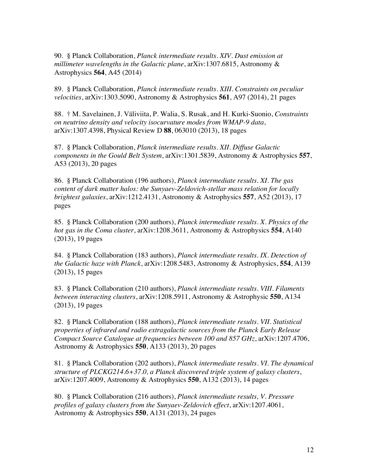90. § Planck Collaboration, *Planck intermediate results. XIV. Dust emission at millimeter wavelengths in the Galactic plane*, arXiv:1307.6815, Astronomy & Astrophysics **564**, A45 (2014)

89. § Planck Collaboration, *Planck intermediate results. XIII. Constraints on peculiar velocities*, arXiv:1303.5090, Astronomy & Astrophysics **561**, A97 (2014), 21 pages

88. † M. Savelainen, J. Väliviita, P. Walia, S. Rusak, and H. Kurki-Suonio, *Constraints on neutrino density and velocity isocurvature modes from WMAP-9 data*, arXiv:1307.4398, Physical Review D **88**, 063010 (2013), 18 pages

87. § Planck Collaboration, *Planck intermediate results. XII. Diffuse Galactic components in the Gould Belt System*, arXiv:1301.5839, Astronomy & Astrophysics **557**, A53 (2013), 20 pages

86. § Planck Collaboration (196 authors), *Planck intermediate results. XI. The gas content of dark matter halos: the Sunyaev-Zeldovich-stellar mass relation for locally brightest galaxies*, arXiv:1212.4131, Astronomy & Astrophysics **557**, A52 (2013), 17 pages

85. § Planck Collaboration (200 authors), *Planck intermediate results. X. Physics of the hot gas in the Coma cluster*, arXiv:1208.3611, Astronomy & Astrophysics **554**, A140 (2013), 19 pages

84. § Planck Collaboration (183 authors), *Planck intermediate results. IX. Detection of the Galactic haze with Planck*, arXiv:1208.5483, Astronomy & Astrophysics, **554**, A139 (2013), 15 pages

83. § Planck Collaboration (210 authors), *Planck intermediate results. VIII. Filaments between interacting clusters*, arXiv:1208.5911, Astronomy & Astrophysic **550**, A134 (2013), 19 pages

82. § Planck Collaboration (188 authors), *Planck intermediate results. VII. Statistical properties of infrared and radio extragalactic sources from the Planck Early Release Compact Source Catalogue at frequencies between 100 and 857 GHz*, arXiv:1207.4706, Astronomy & Astrophysics **550**, A133 (2013), 20 pages

81. § Planck Collaboration (202 authors), *Planck intermediate results. VI. The dynamical structure of PLCKG214.6+37.0, a Planck discovered triple system of galaxy clusters*, arXiv:1207.4009, Astronomy & Astrophysics **550**, A132 (2013), 14 pages

80. § Planck Collaboration (216 authors), *Planck intermediate results, V. Pressure profiles of galaxy clusters from the Sunyaev-Zeldovich effect*, arXiv:1207.4061, Astronomy & Astrophysics **550**, A131 (2013), 24 pages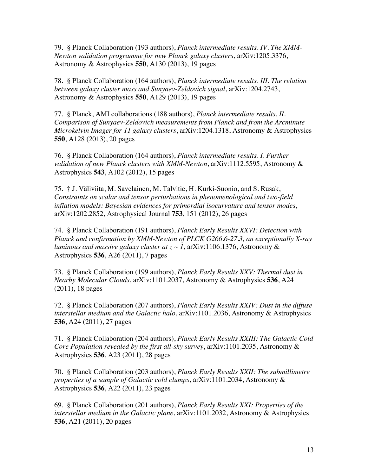79. § Planck Collaboration (193 authors), *Planck intermediate results. IV. The XMM-Newton validation programme for new Planck galaxy clusters*, arXiv:1205.3376, Astronomy & Astrophysics **550**, A130 (2013), 19 pages

78. § Planck Collaboration (164 authors), *Planck intermediate results. III. The relation between galaxy cluster mass and Sunyaev-Zeldovich signal*, arXiv:1204.2743, Astronomy & Astrophysics **550**, A129 (2013), 19 pages

77. § Planck, AMI collaborations (188 authors), *Planck intermediate results. II. Comparison of Sunyaev-Zeldovich measurements from Planck and from the Arcminute Microkelvin Imager for 11 galaxy clusters*, arXiv:1204.1318, Astronomy & Astrophysics **550**, A128 (2013), 20 pages

76. § Planck Collaboration (164 authors), *Planck intermediate results. I. Further validation of new Planck clusters with XMM-Newton*, arXiv:1112.5595, Astronomy & Astrophysics **543**, A102 (2012), 15 pages

75. † J. Väliviita, M. Savelainen, M. Talvitie, H. Kurki-Suonio, and S. Rusak, *Constraints on scalar and tensor perturbations in phenomenological and two-field inflation models: Bayesian evidences for primordial isocurvature and tensor modes*, arXiv:1202.2852, Astrophysical Journal **753**, 151 (2012), 26 pages

74. § Planck Collaboration (191 authors), *Planck Early Results XXVI: Detection with Planck and confirmation by XMM-Newton of PLCK G266.6-27.3, an exceptionally X-ray luminous and massive galaxy cluster at z ~ 1*, arXiv:1106.1376, Astronomy & Astrophysics **536**, A26 (2011), 7 pages

73. § Planck Collaboration (199 authors), *Planck Early Results XXV: Thermal dust in Nearby Molecular Clouds*, arXiv:1101.2037, Astronomy & Astrophysics **536**, A24 (2011), 18 pages

72. § Planck Collaboration (207 authors), *Planck Early Results XXIV: Dust in the diffuse interstellar medium and the Galactic halo*, arXiv:1101.2036, Astronomy & Astrophysics **536**, A24 (2011), 27 pages

71. § Planck Collaboration (204 authors), *Planck Early Results XXIII: The Galactic Cold Core Population revealed by the first all-sky survey*, arXiv:1101.2035, Astronomy & Astrophysics **536**, A23 (2011), 28 pages

70. § Planck Collaboration (203 authors), *Planck Early Results XXII: The submillimetre properties of a sample of Galactic cold clumps*, arXiv:1101.2034, Astronomy & Astrophysics **536**, A22 (2011), 23 pages

69. § Planck Collaboration (201 authors), *Planck Early Results XXI: Properties of the interstellar medium in the Galactic plane*, arXiv:1101.2032, Astronomy & Astrophysics **536**, A21 (2011), 20 pages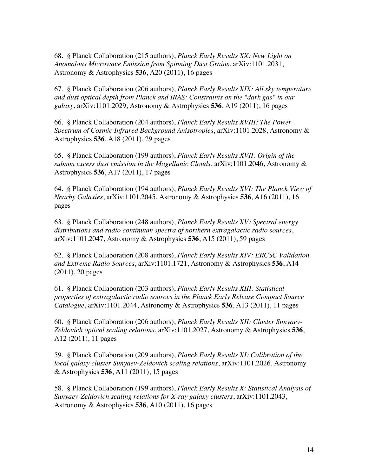68. § Planck Collaboration (215 authors), *Planck Early Results XX: New Light on Anomalous Microwave Emission from Spinning Dust Grains*, arXiv:1101.2031, Astronomy & Astrophysics **536**, A20 (2011), 16 pages

67. § Planck Collaboration (206 authors), *Planck Early Results XIX: All sky temperature and dust optical depth from Planck and IRAS: Constraints on the "dark gas" in our galaxy*, arXiv:1101.2029, Astronomy & Astrophysics **536**, A19 (2011), 16 pages

66. § Planck Collaboration (204 authors), *Planck Early Results XVIII: The Power Spectrum of Cosmic Infrared Background Anisotropies*, arXiv:1101.2028, Astronomy & Astrophysics **536**, A18 (2011), 29 pages

65. § Planck Collaboration (199 authors), *Planck Early Results XVII: Origin of the submm excess dust emission in the Magellanic Clouds*, arXiv:1101.2046, Astronomy & Astrophysics **536**, A17 (2011), 17 pages

64. § Planck Collaboration (194 authors), *Planck Early Results XVI: The Planck View of Nearby Galaxies*, arXiv:1101.2045, Astronomy & Astrophysics **536**, A16 (2011), 16 pages

63. § Planck Collaboration (248 authors), *Planck Early Results XV: Spectral energy distributions and radio continuum spectra of northern extragalactic radio sources*, arXiv:1101.2047, Astronomy & Astrophysics **536**, A15 (2011), 59 pages

62. § Planck Collaboration (208 authors), *Planck Early Results XIV: ERCSC Validation and Extreme Radio Sources*, arXiv:1101.1721, Astronomy & Astrophysics **536**, A14 (2011), 20 pages

61. § Planck Collaboration (203 authors), *Planck Early Results XIII: Statistical properties of extragalactic radio sources in the Planck Early Release Compact Source Catalogue*, arXiv:1101.2044, Astronomy & Astrophysics **536**, A13 (2011), 11 pages

60. § Planck Collaboration (206 authors), *Planck Early Results XII: Cluster Sunyaev-Zeldovich optical scaling relations*, arXiv:1101.2027, Astronomy & Astrophysics **536**, A12 (2011), 11 pages

59. § Planck Collaboration (209 authors), *Planck Early Results XI: Calibration of the local galaxy cluster Sunyaev-Zeldovich scaling relations*, arXiv:1101.2026, Astronomy & Astrophysics **536**, A11 (2011), 15 pages

58. § Planck Collaboration (199 authors), *Planck Early Results X: Statistical Analysis of Sunyaev-Zeldovich scaling relations for X-ray galaxy clusters*, arXiv:1101.2043, Astronomy & Astrophysics **536**, A10 (2011), 16 pages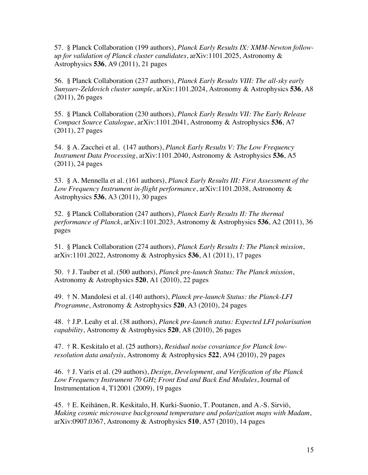57. § Planck Collaboration (199 authors), *Planck Early Results IX: XMM-Newton followup for validation of Planck cluster candidates*, arXiv:1101.2025, Astronomy & Astrophysics **536**, A9 (2011), 21 pages

56. § Planck Collaboration (237 authors), *Planck Early Results VIII: The all-sky early Sunyaev-Zeldovich cluster sample*, arXiv:1101.2024, Astronomy & Astrophysics **536**, A8 (2011), 26 pages

55. § Planck Collaboration (230 authors), *Planck Early Results VII: The Early Release Compact Source Catalogue*, arXiv:1101.2041, Astronomy & Astrophysics **536**, A7 (2011), 27 pages

54. § A. Zacchei et al. (147 authors), *Planck Early Results V: The Low Frequency Instrument Data Processing*, arXiv:1101.2040, Astronomy & Astrophysics **536**, A5 (2011), 24 pages

53. § A. Mennella et al. (161 authors), *Planck Early Results III: First Assessment of the Low Frequency Instrument in-flight performance*, arXiv:1101.2038, Astronomy & Astrophysics **536**, A3 (2011), 30 pages

52. § Planck Collaboration (247 authors), *Planck Early Results II: The thermal performance of Planck*, arXiv:1101.2023, Astronomy & Astrophysics **536**, A2 (2011), 36 pages

51. § Planck Collaboration (274 authors), *Planck Early Results I: The Planck mission*, arXiv:1101.2022, Astronomy & Astrophysics **536**, A1 (2011), 17 pages

50. † J. Tauber et al. (500 authors), *Planck pre-launch Status: The Planck mission*, Astronomy & Astrophysics **520**, A1 (2010), 22 pages

49. † N. Mandolesi et al. (140 authors), *Planck pre-launch Status: the Planck-LFI Programme*, Astronomy & Astrophysics **520**, A3 (2010), 24 pages

48. † J.P. Leahy et al. (38 authors), *Planck pre-launch status: Expected LFI polarisation capability*, Astronomy & Astrophysics **520**, A8 (2010), 26 pages

47. † R. Keskitalo et al. (25 authors), *Residual noise covariance for Planck lowresolution data analysis*, Astronomy & Astrophysics **522**, A94 (2010), 29 pages

46. † J. Varis et al. (29 authors), *Design, Development, and Verification of the Planck Low Frequency Instrument 70 GHz Front End and Back End Modules*, Journal of Instrumentation 4, T12001 (2009), 19 pages

45. † E. Keihänen, R. Keskitalo, H. Kurki-Suonio, T. Poutanen, and A.-S. Sirviö, *Making cosmic microwave background temperature and polarization maps with Madam*, arXiv:0907.0367, Astronomy & Astrophysics **510**, A57 (2010), 14 pages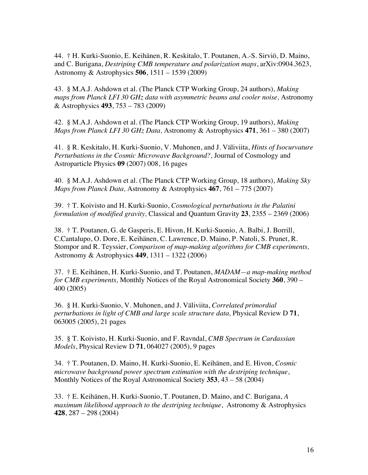44. † H. Kurki-Suonio, E. Keihänen, R. Keskitalo, T. Poutanen, A.-S. Sirviö, D. Maino, and C. Burigana, *Destriping CMB temperature and polarization maps*, arXiv:0904.3623, Astronomy & Astrophysics **506**, 1511 – 1539 (2009)

43. § M.A.J. Ashdown et al. (The Planck CTP Working Group, 24 authors), *Making maps from Planck LFI 30 GHz data with asymmetric beams and cooler noise,* Astronomy & Astrophysics **493**, 753 – 783 (2009)

42. § M.A.J. Ashdown et al. (The Planck CTP Working Group, 19 authors), *Making Maps from Planck LFI 30 GHz Data,* Astronomy & Astrophysics **471**, 361 – 380 (2007)

41. § R. Keskitalo, H. Kurki-Suonio, V. Muhonen, and J. Väliviita, *Hints of Isocurvature Perturbations in the Cosmic Microwave Background?,* Journal of Cosmology and Astroparticle Physics **09** (2007) 008, 16 pages

40. § M.A.J. Ashdown et al. (The Planck CTP Working Group, 18 authors), *Making Sky Maps from Planck Data,* Astronomy & Astrophysics **467**, 761 – 775 (2007)

39. † T. Koivisto and H. Kurki-Suonio, *Cosmological perturbations in the Palatini formulation of modified gravity,* Classical and Quantum Gravity **23**, 2355 – 2369 (2006)

38. † T. Poutanen, G. de Gasperis, E. Hivon, H. Kurki-Suonio, A. Balbi, J. Borrill, C.Cantalupo, O. Dore, E. Keihänen, C. Lawrence, D. Maino, P. Natoli, S. Prunet, R. Stompor and R. Teyssier, *Comparison of map-making algorithms for CMB experiments,* Astronomy & Astrophysics **449**, 1311 – 1322 (2006)

37. † E. Keihänen, H. Kurki-Suonio, and T. Poutanen, *MADAM—a map-making method for CMB experiments,* Monthly Notices of the Royal Astronomical Society **360**, 390 – 400 (2005)

36. § H. Kurki-Suonio, V. Muhonen, and J. Väliviita, *Correlated primordial perturbations in light of CMB and large scale structure data,* Physical Review D **71**, 063005 (2005), 21 pages

35. § T. Koivisto, H. Kurki-Suonio, and F. Ravndal, *CMB Spectrum in Cardassian Models*, Physical Review D **71**, 064027 (2005), 9 pages

34. † T. Poutanen, D. Maino, H. Kurki-Suonio, E. Keihänen, and E. Hivon, *Cosmic microwave background power spectrum estimation with the destriping technique*, Monthly Notices of the Royal Astronomical Society **353**, 43 – 58 (2004)

33. † E. Keihänen, H. Kurki-Suonio, T. Poutanen, D. Maino, and C. Burigana, *A maximum likelihood approach to the destriping technique*, Astronomy & Astrophysics **428**, 287 – 298 (2004)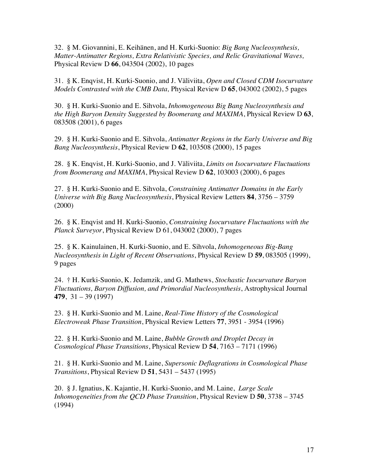32. § M. Giovannini, E. Keihänen, and H. Kurki-Suonio: *Big Bang Nucleosynthesis, Matter-Antimatter Regions, Extra Relativistic Species, and Relic Gravitational Waves,*  Physical Review D **66**, 043504 (2002), 10 pages

31. § K. Enqvist, H. Kurki-Suonio, and J. Väliviita, *Open and Closed CDM Isocurvature Models Contrasted with the CMB Data,* Physical Review D **65**, 043002 (2002), 5 pages

30. § H. Kurki-Suonio and E. Sihvola, *Inhomogeneous Big Bang Nucleosynthesis and the High Baryon Density Suggested by Boomerang and MAXIMA*, Physical Review D **63**, 083508 (2001), 6 pages

29. § H. Kurki-Suonio and E. Sihvola, *Antimatter Regions in the Early Universe and Big Bang Nucleosynthesis*, Physical Review D **62**, 103508 (2000), 15 pages

28. § K. Enqvist, H. Kurki-Suonio, and J. Väliviita, *Limits on Isocurvature Fluctuations from Boomerang and MAXIMA*, Physical Review D **62**, 103003 (2000), 6 pages

27. § H. Kurki-Suonio and E. Sihvola, *Constraining Antimatter Domains in the Early Universe with Big Bang Nucleosynthesis*, Physical Review Letters **84**, 3756 – 3759 (2000)

26. § K. Enqvist and H. Kurki-Suonio, *Constraining Isocurvature Fluctuations with the Planck Surveyor*, Physical Review D 61, 043002 (2000), 7 pages

25. § K. Kainulainen, H. Kurki-Suonio, and E. Sihvola, *Inhomogeneous Big-Bang Nucleosynthesis in Light of Recent Observations*, Physical Review D **59**, 083505 (1999), 9 pages

24. † H. Kurki-Suonio, K. Jedamzik, and G. Mathews, *Stochastic Isocurvature Baryon Fluctuations, Baryon Diffusion, and Primordial Nucleosynthesis*, Astrophysical Journal **479**, 31 – 39 (1997)

23. § H. Kurki-Suonio and M. Laine, *Real-Time History of the Cosmological Electroweak Phase Transition*, Physical Review Letters **77**, 3951 - 3954 (1996)

22. § H. Kurki-Suonio and M. Laine, *Bubble Growth and Droplet Decay in Cosmological Phase Transitions*, Physical Review D **54**, 7163 – 7171 (1996)

21. § H. Kurki-Suonio and M. Laine, *Supersonic Deflagrations in Cosmological Phase Transitions*, Physical Review D **51**, 5431 – 5437 (1995)

20. § J. Ignatius, K. Kajantie, H. Kurki-Suonio, and M. Laine, *Large Scale Inhomogeneities from the QCD Phase Transition*, Physical Review D **50**, 3738 – 3745 (1994)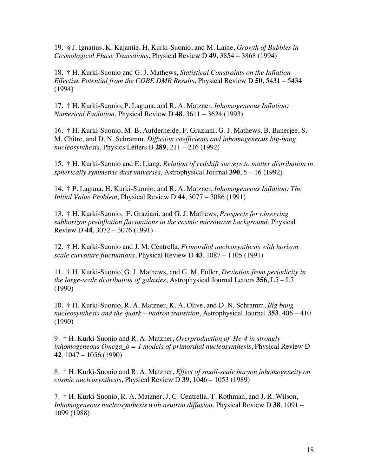19. § J. Ignatius, K. Kajantie, H. Kurki-Suonio, and M. Laine, *Growth of Bubbles in Cosmological Phase Transitions*, Physical Review D **49**, 3854 – 3868 (1994)

18. † H. Kurki-Suonio and G. J. Mathews, *Statistical Constraints on the Inflation Effective Potential from the COBE DMR Results*, Physical Review D **50**, 5431 – 5434 (1994)

17. † H. Kurki-Suonio, P. Laguna, and R. A. Matzner, *Inhomogeneous Inflation: Numerical Evolution*, Physical Review D **48**, 3611 – 3624 (1993)

16. † H. Kurki-Suonio, M. B. Aufderheide, F. Graziani, G. J. Mathews, B. Banerjee, S. M. Chitre, and D. N. Schramm, *Diffusion coefficients and inhomogeneous big-bang nucleosynthesis*, Physics Letters B **289**, 211 – 216 (1992)

15. † H. Kurki-Suonio and E. Liang, *Relation of redshift surveys to matter distribution in spherically symmetric dust universes*, Astrophysical Journal **390**, 5 – 16 (1992)

14. † P. Laguna, H. Kurki-Suonio, and R. A. Matzner, *Inhomogeneous Inflation: The Initial Value Problem*, Physical Review D **44**, 3077 – 3086 (1991)

13. † H. Kurki-Suonio, F. Graziani, and G. J. Mathews, *Prospects for observing subhorizon preinflation fluctuations in the cosmic microwave background*, Physical Review D **44**, 3072 – 3076 (1991)

12. † H. Kurki-Suonio and J. M. Centrella, *Primordial nucleosynthesis with horizon scale curvature fluctuations*, Physical Review D **43**, 1087 – 1105 (1991)

11. † H. Kurki-Suonio, G. J. Mathews, and G. M. Fuller, *Deviation from periodicity in the large-scale distribution of galaxies*, Astrophysical Journal Letters **356**, L5 – L7 (1990)

10. † H. Kurki-Suonio, R. A. Matzner, K. A. Olive, and D. N. Schramm, *Big bang nucleosynthesis and the quark – hadron transition*, Astrophysical Journal **353**, 406 – 410 (1990)

9. † H. Kurki-Suonio and R. A. Matzner, *Overproduction of He-4 in strongly inhomogeneous Omega\_b = 1 models of primordial nucleosynthesis*, Physical Review D **42**, 1047 – 1056 (1990)

8. † H. Kurki-Suonio and R. A. Matzner, *Effect of small-scale baryon inhomogeneity on cosmic nucleosynthesis*, Physical Review D **39**, 1046 – 1053 (1989)

7. † H. Kurki-Suonio, R. A. Matzner, J. C. Centrella, T. Rothman, and J. R. Wilson, *Inhomogeneous nucleosynthesis with neutron diffusion*, Physical Review D **38**, 1091 – 1099 (1988)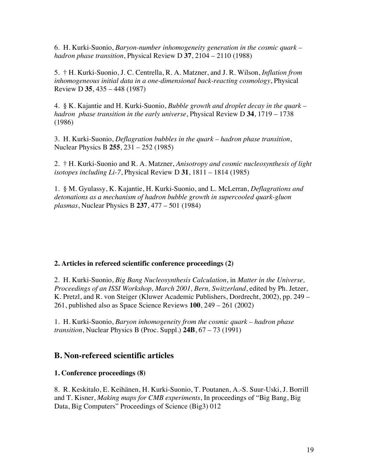6. H. Kurki-Suonio, *Baryon-number inhomogeneity generation in the cosmic quark – hadron phase transition*, Physical Review D **37**, 2104 – 2110 (1988)

5. † H. Kurki-Suonio, J. C. Centrella, R. A. Matzner, and J. R. Wilson, *Inflation from inhomogeneous initial data in a one-dimensional back-reacting cosmology*, Physical Review D **35**, 435 – 448 (1987)

4. § K. Kajantie and H. Kurki-Suonio, *Bubble growth and droplet decay in the quark – hadron phase transition in the early universe*, Physical Review D **34**, 1719 – 1738 (1986)

3. H. Kurki-Suonio, *Deflagration bubbles in the quark – hadron phase transition*, Nuclear Physics B **255**, 231 – 252 (1985)

2. † H. Kurki-Suonio and R. A. Matzner, *Anisotropy and cosmic nucleosynthesis of light isotopes including Li-7*, Physical Review D **31**, 1811 – 1814 (1985)

1. § M. Gyulassy, K. Kajantie, H. Kurki-Suonio, and L. McLerran, *Deflagrations and detonations as a mechanism of hadron bubble growth in supercooled quark-gluon plasmas*, Nuclear Physics B **237**, 477 – 501 (1984)

#### **2. Articles in refereed scientific conference proceedings (2)**

2. H. Kurki-Suonio, *Big Bang Nucleosynthesis Calculation*, in *Matter in the Universe, Proceedings of an ISSI Workshop, March 2001, Bern, Switzerland*, edited by Ph. Jetzer, K. Pretzl, and R. von Steiger (Kluwer Academic Publishers, Dordrecht, 2002), pp. 249 – 261, published also as Space Science Reviews **100**, 249 – 261 (2002)

1. H. Kurki-Suonio, *Baryon inhomogeneity from the cosmic quark – hadron phase transition*, Nuclear Physics B (Proc. Suppl.) **24B**, 67 – 73 (1991)

### **B. Non-refereed scientific articles**

#### **1. Conference proceedings (8)**

8. R. Keskitalo, E. Keihänen, H. Kurki-Suonio, T. Poutanen, A.-S. Suur-Uski, J. Borrill and T. Kisner, *Making maps for CMB experiments*, In proceedings of "Big Bang, Big Data, Big Computers" Proceedings of Science (Big3) 012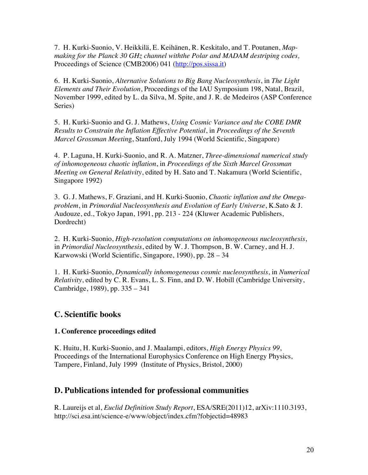7. H. Kurki-Suonio, V. Heikkilä, E. Keihänen, R. Keskitalo, and T. Poutanen, *Mapmaking for the Planck 30 GHz channel withthe Polar and MADAM destriping codes,* Proceedings of Science (CMB2006) 041 (http://pos.sissa.it)

6. H. Kurki-Suonio, *Alternative Solutions to Big Bang Nucleosynthesis*, in *The Light Elements and Their Evolution*, Proceedings of the IAU Symposium 198, Natal, Brazil, November 1999, edited by L. da Silva, M. Spite, and J. R. de Medeiros (ASP Conference Series)

5. H. Kurki-Suonio and G. J. Mathews, *Using Cosmic Variance and the COBE DMR Results to Constrain the Inflation Effective Potential*, in *Proceedings of the Seventh Marcel Grossman Meetin*g, Stanford, July 1994 (World Scientific, Singapore)

4. P. Laguna, H. Kurki-Suonio, and R. A. Matzner, *Three-dimensional numerical study of inhomogeneous chaotic inflation*, in *Proceedings of the Sixth Marcel Grossman Meeting on General Relativity*, edited by H. Sato and T. Nakamura (World Scientific, Singapore 1992)

3. G. J. Mathews, F. Graziani, and H. Kurki-Suonio, *Chaotic inflation and the Omegaproblem*, in *Primordial Nucleosynthesis and Evolution of Early Universe*, K.Sato & J. Audouze, ed., Tokyo Japan, 1991, pp. 213 - 224 (Kluwer Academic Publishers, Dordrecht)

2. H. Kurki-Suonio, *High-resolution computations on inhomogeneous nucleosynthesis*, in *Primordial Nucleosynthesis*, edited by W. J. Thompson, B. W. Carney, and H. J. Karwowski (World Scientific, Singapore, 1990), pp. 28 – 34

1. H. Kurki-Suonio, *Dynamically inhomogeneous cosmic nucleosynthesis*, in *Numerical Relativity*, edited by C. R. Evans, L. S. Finn, and D. W. Hobill (Cambridge University, Cambridge, 1989), pp. 335 – 341

## **C. Scientific books**

#### **1. Conference proceedings edited**

K. Huitu, H. Kurki-Suonio, and J. Maalampi, editors, *High Energy Physics 99*, Proceedings of the International Europhysics Conference on High Energy Physics, Tampere, Finland, July 1999 (Institute of Physics, Bristol, 2000)

## **D. Publications intended for professional communities**

R. Laureijs et al, *Euclid Definition Study Report*, ESA/SRE(2011)12, arXiv:1110.3193, http://sci.esa.int/science-e/www/object/index.cfm?fobjectid=48983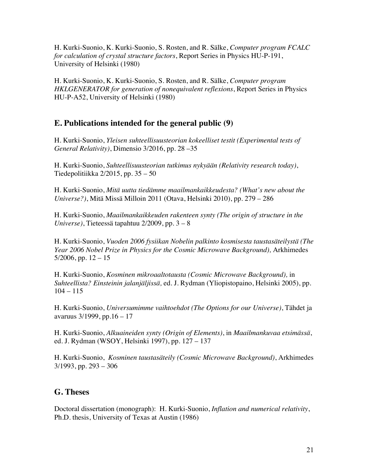H. Kurki-Suonio, K. Kurki-Suonio, S. Rosten, and R. Sälke, *Computer program FCALC for calculation of crystal structure factors*, Report Series in Physics HU-P-191, University of Helsinki (1980)

H. Kurki-Suonio, K. Kurki-Suonio, S. Rosten, and R. Sälke, *Computer program HKLGENERATOR for generation of nonequivalent reflexions*, Report Series in Physics HU-P-A52, University of Helsinki (1980)

## **E. Publications intended for the general public (9)**

H. Kurki-Suonio, *Yleisen suhteellisuusteorian kokeelliset testit (Experimental tests of General Relativity)*, Dimensio 3/2016, pp. 28 –35

H. Kurki-Suonio, *Suhteellisuusteorian tutkimus nykyään (Relativity research today)*, Tiedepolitiikka 2/2015, pp. 35 – 50

H. Kurki-Suonio, *Mitä uutta tiedämme maailmankaikkeudesta? (What's new about the Universe?)*, Mitä Missä Milloin 2011 (Otava, Helsinki 2010), pp. 279 – 286

H. Kurki-Suonio, *Maailmankaikkeuden rakenteen synty (The origin of structure in the Universe)*, Tieteessä tapahtuu 2/2009, pp. 3 – 8

H. Kurki-Suonio, *Vuoden 2006 fysiikan Nobelin palkinto kosmisesta taustasäteilystä (The Year 2006 Nobel Prize in Physics for the Cosmic Microwave Background),* Arkhimedes  $5/2006$ , pp.  $12 - 15$ 

H. Kurki-Suonio, *Kosminen mikroaaltotausta (Cosmic Microwave Background),* in *Suhteellista? Einsteinin jalanjäljissä,* ed. J. Rydman (Yliopistopaino, Helsinki 2005), pp.  $104 - 115$ 

H. Kurki-Suonio, *Universumimme vaihtoehdot (The Options for our Universe)*, Tähdet ja avaruus 3/1999, pp.16 – 17

H. Kurki-Suonio, *Alkuaineiden synty (Origin of Elements)*, in *Maailmankuvaa etsimässä*, ed. J. Rydman (WSOY, Helsinki 1997), pp. 127 – 137

H. Kurki-Suonio, *Kosminen taustasäteily (Cosmic Microwave Background)*, Arkhimedes 3/1993, pp. 293 – 306

## **G. Theses**

Doctoral dissertation (monograph): H. Kurki-Suonio, *Inflation and numerical relativity*, Ph.D. thesis, University of Texas at Austin (1986)